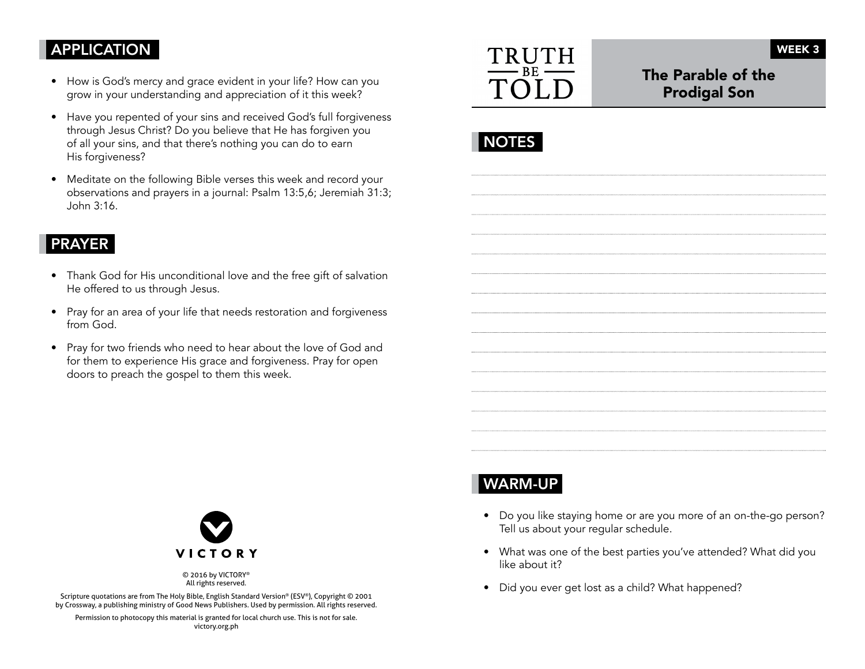### APPLICATION

- How is God's mercy and grace evident in your life? How can you grow in your understanding and appreciation of it this week?
- Have you repented of your sins and received God's full forgiveness through Jesus Christ? Do you believe that He has forgiven you of all your sins, and that there's nothing you can do to earn His forgiveness?
- Meditate on the following Bible verses this week and record your observations and prayers in a journal: Psalm 13:5,6; Jeremiah 31:3; John 3:16.

#### PRAYER

- Thank God for His unconditional love and the free gift of salvation He offered to us through Jesus.
- Pray for an area of your life that needs restoration and forgiveness from God.
- Pray for two friends who need to hear about the love of God and for them to experience His grace and forgiveness. Pray for open doors to preach the gospel to them this week.



## The Parable of the Prodigal Son

|--|



© 2016 by VICTORY® All rights reserved.

Scripture quotations are from The Holy Bible, English Standard Version® (ESV®), Copyright © 2001 by Crossway, a publishing ministry of Good News Publishers. Used by permission. All rights reserved.

Permission to photocopy this material is granted for local church use. This is not for sale. victory.org.ph

# WARM-UP

- Do you like staying home or are you more of an on-the-go person? Tell us about your regular schedule.
- What was one of the best parties you've attended? What did you like about it?
- Did you ever get lost as a child? What happened?

WEEK 3